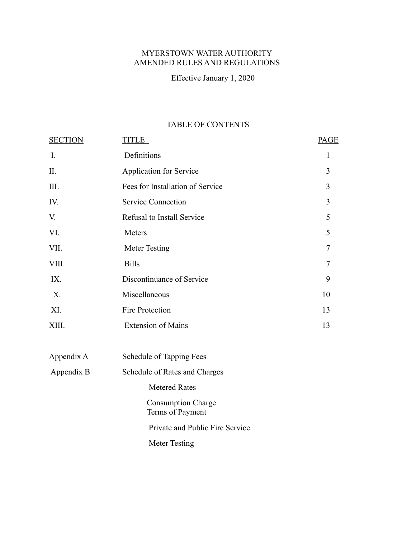## MYERSTOWN WATER AUTHORITY AMENDED RULES AND REGULATIONS

Effective January 1, 2020

# TABLE OF CONTENTS

| <b>SECTION</b> | <b>TITLE</b>                                  | <b>PAGE</b> |
|----------------|-----------------------------------------------|-------------|
| $\mathbf{I}$ . | Definitions                                   | 1           |
| II.            | <b>Application for Service</b>                | 3           |
| III.           | Fees for Installation of Service              | 3           |
| IV.            | <b>Service Connection</b>                     | 3           |
| V.             | Refusal to Install Service                    | 5           |
| VI.            | Meters                                        | 5           |
| VII.           | <b>Meter Testing</b>                          | 7           |
| VIII.          | <b>Bills</b>                                  | 7           |
| IX.            | Discontinuance of Service                     | 9           |
| X.             | Miscellaneous                                 | 10          |
| XI.            | Fire Protection                               | 13          |
| XIII.          | <b>Extension of Mains</b>                     | 13          |
| Appendix A     | Schedule of Tapping Fees                      |             |
| Appendix B     | Schedule of Rates and Charges                 |             |
|                | <b>Metered Rates</b>                          |             |
|                | <b>Consumption Charge</b><br>Terms of Payment |             |
|                | Private and Public Fire Service               |             |
|                | <b>Meter Testing</b>                          |             |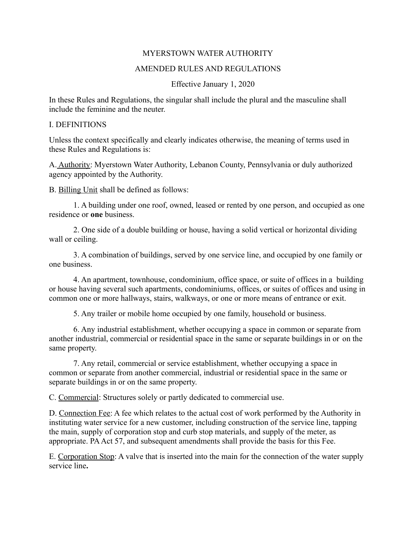#### MYERSTOWN WATER AUTHORITY

#### AMENDED RULES AND REGULATIONS

#### Effective January 1, 2020

In these Rules and Regulations, the singular shall include the plural and the masculine shall include the feminine and the neuter.

#### I. DEFINITIONS

Unless the context specifically and clearly indicates otherwise, the meaning of terms used in these Rules and Regulations is:

A. Authority: Myerstown Water Authority, Lebanon County, Pennsylvania or duly authorized agency appointed by the Authority.

B. Billing Unit shall be defined as follows:

1. A building under one roof, owned, leased or rented by one person, and occupied as one residence or **one** business.

2. One side of a double building or house, having a solid vertical or horizontal dividing wall or ceiling.

3. A combination of buildings, served by one service line, and occupied by one family or one business.

4. An apartment, townhouse, condominium, office space, or suite of offices in a building or house having several such apartments, condominiums, offices, or suites of offices and using in common one or more hallways, stairs, walkways, or one or more means of entrance or exit.

5. Any trailer or mobile home occupied by one family, household or business.

6. Any industrial establishment, whether occupying a space in common or separate from another industrial, commercial or residential space in the same or separate buildings in or on the same property.

7. Any retail, commercial or service establishment, whether occupying a space in common or separate from another commercial, industrial or residential space in the same or separate buildings in or on the same property.

C. Commercial: Structures solely or partly dedicated to commercial use.

D. Connection Fee: A fee which relates to the actual cost of work performed by the Authority in instituting water service for a new customer, including construction of the service line, tapping the main, supply of corporation stop and curb stop materials, and supply of the meter, as appropriate. PA Act 57, and subsequent amendments shall provide the basis for this Fee.

E. Corporation Stop: A valve that is inserted into the main for the connection of the water supply service line**.**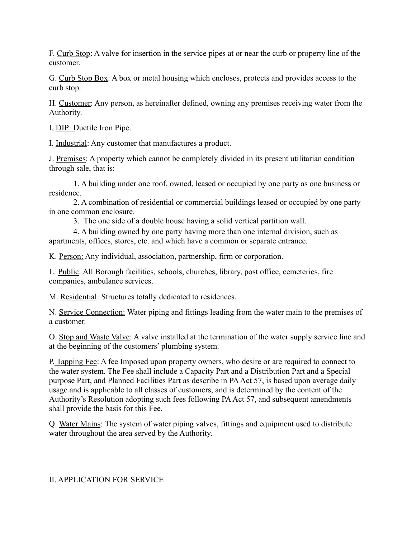F. Curb Stop: A valve for insertion in the service pipes at or near the curb or property line of the customer.

G. Curb Stop Box: A box or metal housing which encloses, protects and provides access to the curb stop.

H. Customer: Any person, as hereinafter defined, owning any premises receiving water from the Authority.

I. DIP: Ductile Iron Pipe.

I. Industrial: Any customer that manufactures a product.

J. Premises: A property which cannot be completely divided in its present utilitarian condition through sale, that is:

1. A building under one roof, owned, leased or occupied by one party as one business or residence.

2. A combination of residential or commercial buildings leased or occupied by one party in one common enclosure.

3. The one side of a double house having a solid vertical partition wall.

4. A building owned by one party having more than one internal division, such as apartments, offices, stores, etc. and which have a common or separate entrance.

K. Person: Any individual, association, partnership, firm or corporation.

L. Public: All Borough facilities, schools, churches, library, post office, cemeteries, fire companies, ambulance services.

M. Residential: Structures totally dedicated to residences.

N. Service Connection: Water piping and fittings leading from the water main to the premises of a customer.

O. Stop and Waste Valve: A valve installed at the termination of the water supply service line and at the beginning of the customers' plumbing system.

P. Tapping Fee: A fee Imposed upon property owners, who desire or are required to connect to the water system. The Fee shall include a Capacity Part and a Distribution Part and a Special purpose Part, and Planned Facilities Part as describe in PA Act 57, is based upon average daily usage and is applicable to all classes of customers, and is determined by the content of the Authority's Resolution adopting such fees following PA Act 57, and subsequent amendments shall provide the basis for this Fee.

Q. Water Mains: The system of water piping valves, fittings and equipment used to distribute water throughout the area served by the Authority.

## II. APPLICATION FOR SERVICE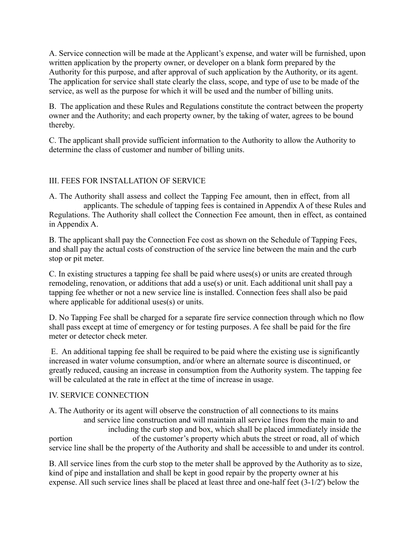A. Service connection will be made at the Applicant's expense, and water will be furnished, upon written application by the property owner, or developer on a blank form prepared by the Authority for this purpose, and after approval of such application by the Authority, or its agent. The application for service shall state clearly the class, scope, and type of use to be made of the service, as well as the purpose for which it will be used and the number of billing units.

B. The application and these Rules and Regulations constitute the contract between the property owner and the Authority; and each property owner, by the taking of water, agrees to be bound thereby.

C. The applicant shall provide sufficient information to the Authority to allow the Authority to determine the class of customer and number of billing units.

## III. FEES FOR INSTALLATION OF SERVICE

A. The Authority shall assess and collect the Tapping Fee amount, then in effect, from all applicants. The schedule of tapping fees is contained in Appendix A of these Rules and Regulations. The Authority shall collect the Connection Fee amount, then in effect, as contained in Appendix A.

B. The applicant shall pay the Connection Fee cost as shown on the Schedule of Tapping Fees, and shall pay the actual costs of construction of the service line between the main and the curb stop or pit meter.

C. In existing structures a tapping fee shall be paid where uses(s) or units are created through remodeling, renovation, or additions that add a use(s) or unit. Each additional unit shall pay a tapping fee whether or not a new service line is installed. Connection fees shall also be paid where applicable for additional uses(s) or units.

D. No Tapping Fee shall be charged for a separate fire service connection through which no flow shall pass except at time of emergency or for testing purposes. A fee shall be paid for the fire meter or detector check meter.

 E. An additional tapping fee shall be required to be paid where the existing use is significantly increased in water volume consumption, and/or where an alternate source is discontinued, or greatly reduced, causing an increase in consumption from the Authority system. The tapping fee will be calculated at the rate in effect at the time of increase in usage.

### IV. SERVICE CONNECTION

A. The Authority or its agent will observe the construction of all connections to its mains and service line construction and will maintain all service lines from the main to and including the curb stop and box, which shall be placed immediately inside the portion of the customer's property which abuts the street or road, all of which service line shall be the property of the Authority and shall be accessible to and under its control.

B. All service lines from the curb stop to the meter shall be approved by the Authority as to size, kind of pipe and installation and shall be kept in good repair by the property owner at his expense. All such service lines shall be placed at least three and one-half feet (3-1/2') below the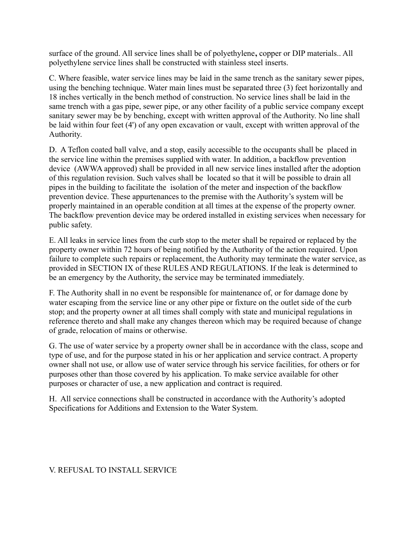surface of the ground. All service lines shall be of polyethylene**,** copper or DIP materials.. All polyethylene service lines shall be constructed with stainless steel inserts.

C. Where feasible, water service lines may be laid in the same trench as the sanitary sewer pipes, using the benching technique. Water main lines must be separated three (3) feet horizontally and 18 inches vertically in the bench method of construction. No service lines shall be laid in the same trench with a gas pipe, sewer pipe, or any other facility of a public service company except sanitary sewer may be by benching, except with written approval of the Authority. No line shall be laid within four feet (4') of any open excavation or vault, except with written approval of the Authority.

D. A Teflon coated ball valve, and a stop, easily accessible to the occupants shall be placed in the service line within the premises supplied with water. In addition, a backflow prevention device (AWWA approved) shall be provided in all new service lines installed after the adoption of this regulation revision. Such valves shall be located so that it will be possible to drain all pipes in the building to facilitate the isolation of the meter and inspection of the backflow prevention device. These appurtenances to the premise with the Authority's system will be properly maintained in an operable condition at all times at the expense of the property owner. The backflow prevention device may be ordered installed in existing services when necessary for public safety.

E. All leaks in service lines from the curb stop to the meter shall be repaired or replaced by the property owner within 72 hours of being notified by the Authority of the action required. Upon failure to complete such repairs or replacement, the Authority may terminate the water service, as provided in SECTION IX of these RULES AND REGULATIONS. If the leak is determined to be an emergency by the Authority, the service may be terminated immediately.

F. The Authority shall in no event be responsible for maintenance of, or for damage done by water escaping from the service line or any other pipe or fixture on the outlet side of the curb stop; and the property owner at all times shall comply with state and municipal regulations in reference thereto and shall make any changes thereon which may be required because of change of grade, relocation of mains or otherwise.

G. The use of water service by a property owner shall be in accordance with the class, scope and type of use, and for the purpose stated in his or her application and service contract. A property owner shall not use, or allow use of water service through his service facilities, for others or for purposes other than those covered by his application. To make service available for other purposes or character of use, a new application and contract is required.

H. All service connections shall be constructed in accordance with the Authority's adopted Specifications for Additions and Extension to the Water System.

## V. REFUSAL TO INSTALL SERVICE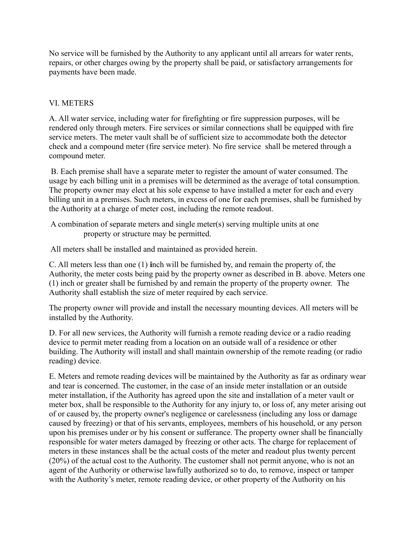No service will be furnished by the Authority to any applicant until all arrears for water rents, repairs, or other charges owing by the property shall be paid, or satisfactory arrangements for payments have been made.

## VI. METERS

A. All water service, including water for firefighting or fire suppression purposes, will be rendered only through meters. Fire services or similar connections shall be equipped with fire service meters. The meter vault shall be of sufficient size to accommodate both the detector check and a compound meter (fire service meter). No fire service shall be metered through a compound meter.

 B. Each premise shall have a separate meter to register the amount of water consumed. The usage by each billing unit in a premises will be determined as the average of total consumption. The property owner may elect at his sole expense to have installed a meter for each and every billing unit in a premises. Such meters, in excess of one for each premises, shall be furnished by the Authority at a charge of meter cost, including the remote readout.

 A combination of separate meters and single meter(s) serving multiple units at one property or structure may be permitted.

All meters shall be installed and maintained as provided herein.

C. All meters less than one (1) **i**nch will be furnished by, and remain the property of, the Authority, the meter costs being paid by the property owner as described in B. above. Meters one (1) inch or greater shall be furnished by and remain the property of the property owner. The Authority shall establish the size of meter required by each service.

The property owner will provide and install the necessary mounting devices. All meters will be installed by the Authority.

D. For all new services, the Authority will furnish a remote reading device or a radio reading device to permit meter reading from a location on an outside wall of a residence or other building. The Authority will install and shall maintain ownership of the remote reading (or radio reading) device.

E. Meters and remote reading devices will be maintained by the Authority as far as ordinary wear and tear is concerned. The customer, in the case of an inside meter installation or an outside meter installation, if the Authority has agreed upon the site and installation of a meter vault or meter box, shall be responsible to the Authority for any injury to, or loss of, any meter arising out of or caused by, the property owner's negligence or carelessness (including any loss or damage caused by freezing) or that of his servants, employees, members of his household, or any person upon his premises under or by his consent or sufferance. The property owner shall be financially responsible for water meters damaged by freezing or other acts. The charge for replacement of meters in these instances shall be the actual costs of the meter and readout plus twenty percent (20%) of the actual cost to the Authority. The customer shall not permit anyone, who is not an agent of the Authority or otherwise lawfully authorized so to do, to remove, inspect or tamper with the Authority's meter, remote reading device, or other property of the Authority on his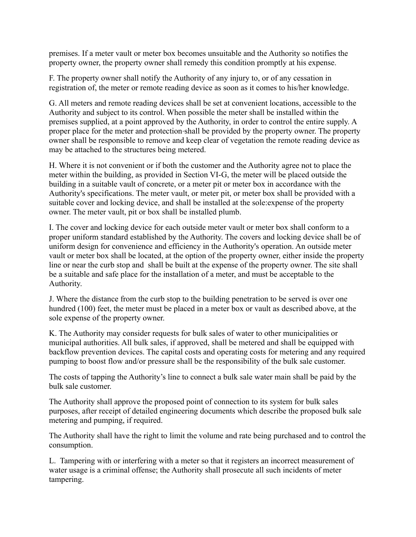premises. If a meter vault or meter box becomes unsuitable and the Authority so notifies the property owner, the property owner shall remedy this condition promptly at his expense.

F. The property owner shall notify the Authority of any injury to, or of any cessation in registration of, the meter or remote reading device as soon as it comes to his/her knowledge.

G. All meters and remote reading devices shall be set at convenient locations, accessible to the Authority and subject to its control. When possible the meter shall be installed within the premises supplied, at a point approved by the Authority, in order to control the entire supply. A proper place for the meter and protection shall be provided by the property owner. The property owner shall be responsible to remove and keep clear of vegetation the remote reading device as may be attached to the structures being metered.

H. Where it is not convenient or if both the customer and the Authority agree not to place the meter within the building, as provided in Section VI-G, the meter will be placed outside the building in a suitable vault of concrete, or a meter pit or meter box in accordance with the Authority's specifications. The meter vault, or meter pit, or meter box shall be provided with a suitable cover and locking device, and shall be installed at the sole:expense of the property owner. The meter vault, pit or box shall be installed plumb.

I. The cover and locking device for each outside meter vault or meter box shall conform to a proper uniform standard established by the Authority. The covers and locking device shall be of uniform design for convenience and efficiency in the Authority's operation. An outside meter vault or meter box shall be located, at the option of the property owner, either inside the property line or near the curb stop and shall be built at the expense of the property owner. The site shall be a suitable and safe place for the installation of a meter, and must be acceptable to the Authority.

J. Where the distance from the curb stop to the building penetration to be served is over one hundred (100) feet, the meter must be placed in a meter box or vault as described above, at the sole expense of the property owner.

K. The Authority may consider requests for bulk sales of water to other municipalities or municipal authorities. All bulk sales, if approved, shall be metered and shall be equipped with backflow prevention devices. The capital costs and operating costs for metering and any required pumping to boost flow and/or pressure shall be the responsibility of the bulk sale customer.

The costs of tapping the Authority's line to connect a bulk sale water main shall be paid by the bulk sale customer.

The Authority shall approve the proposed point of connection to its system for bulk sales purposes, after receipt of detailed engineering documents which describe the proposed bulk sale metering and pumping, if required.

The Authority shall have the right to limit the volume and rate being purchased and to control the consumption.

L. Tampering with or interfering with a meter so that it registers an incorrect measurement of water usage is a criminal offense; the Authority shall prosecute all such incidents of meter tampering.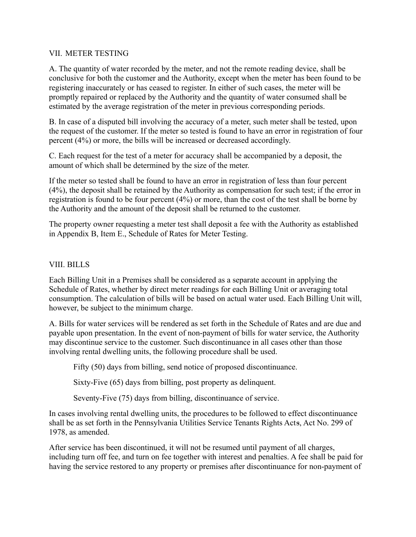### VII. METER TESTING

A. The quantity of water recorded by the meter, and not the remote reading device, shall be conclusive for both the customer and the Authority, except when the meter has been found to be registering inaccurately or has ceased to register. In either of such cases, the meter will be promptly repaired or replaced by the Authority and the quantity of water consumed shall be estimated by the average registration of the meter in previous corresponding periods.

B. In case of a disputed bill involving the accuracy of a meter, such meter shall be tested, upon the request of the customer. If the meter so tested is found to have an error in registration of four percent (4%) or more, the bills will be increased or decreased accordingly.

C. Each request for the test of a meter for accuracy shall be accompanied by a deposit, the amount of which shall be determined by the size of the meter.

If the meter so tested shall be found to have an error in registration of less than four percent (4%), the deposit shall be retained by the Authority as compensation for such test; if the error in registration is found to be four percent (4%) or more, than the cost of the test shall be borne by the Authority and the amount of the deposit shall be returned to the customer.

The property owner requesting a meter test shall deposit a fee with the Authority as established in Appendix B, Item E., Schedule of Rates for Meter Testing.

### VIII. BILLS

Each Billing Unit in a Premises shall be considered as a separate account in applying the Schedule of Rates, whether by direct meter readings for each Billing Unit or averaging total consumption. The calculation of bills will be based on actual water used. Each Billing Unit will, however, be subject to the minimum charge.

A. Bills for water services will be rendered as set forth in the Schedule of Rates and are due and payable upon presentation. In the event of non-payment of bills for water service, the Authority may discontinue service to the customer. Such discontinuance in all cases other than those involving rental dwelling units, the following procedure shall be used.

Fifty (50) days from billing, send notice of proposed discontinuance.

Sixty-Five (65) days from billing, post property as delinquent.

Seventy-Five (75) days from billing, discontinuance of service.

In cases involving rental dwelling units, the procedures to be followed to effect discontinuance shall be as set forth in the Pennsylvania Utilities Service Tenants Rights Acts, Act No. 299 of 1978, as amended.

After service has been discontinued, it will not be resumed until payment of all charges, including turn off fee, and turn on fee together with interest and penalties. A fee shall be paid for having the service restored to any property or premises after discontinuance for non-payment of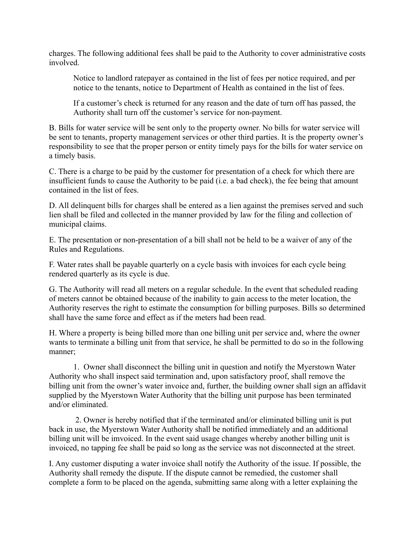charges. The following additional fees shall be paid to the Authority to cover administrative costs involved.

Notice to landlord ratepayer as contained in the list of fees per notice required, and per notice to the tenants, notice to Department of Health as contained in the list of fees.

If a customer's check is returned for any reason and the date of turn off has passed, the Authority shall turn off the customer's service for non-payment.

B. Bills for water service will be sent only to the property owner. No bills for water service will be sent to tenants, property management services or other third parties. It is the property owner's responsibility to see that the proper person or entity timely pays for the bills for water service on a timely basis.

C. There is a charge to be paid by the customer for presentation of a check for which there are insufficient funds to cause the Authority to be paid (i.e. a bad check), the fee being that amount contained in the list of fees.

D. All delinquent bills for charges shall be entered as a lien against the premises served and such lien shall be filed and collected in the manner provided by law for the filing and collection of municipal claims.

E. The presentation or non-presentation of a bill shall not be held to be a waiver of any of the Rules and Regulations.

F. Water rates shall be payable quarterly on a cycle basis with invoices for each cycle being rendered quarterly as its cycle is due.

G. The Authority will read all meters on a regular schedule. In the event that scheduled reading of meters cannot be obtained because of the inability to gain access to the meter location, the Authority reserves the right to estimate the consumption for billing purposes. Bills so determined shall have the same force and effect as if the meters had been read.

H. Where a property is being billed more than one billing unit per service and, where the owner wants to terminate a billing unit from that service, he shall be permitted to do so in the following manner;

1. Owner shall disconnect the billing unit in question and notify the Myerstown Water Authority who shall inspect said termination and, upon satisfactory proof, shall remove the billing unit from the owner's water invoice and, further, the building owner shall sign an affidavit supplied by the Myerstown Water Authority that the billing unit purpose has been terminated and/or eliminated.

 2. Owner is hereby notified that if the terminated and/or eliminated billing unit is put back in use, the Myerstown Water Authority shall be notified immediately and an additional billing unit will be imvoiced. In the event said usage changes whereby another billing unit is invoiced, no tapping fee shall be paid so long as the service was not disconnected at the street.

I. Any customer disputing a water invoice shall notify the Authority of the issue. If possible, the Authority shall remedy the dispute. If the dispute cannot be remedied, the customer shall complete a form to be placed on the agenda, submitting same along with a letter explaining the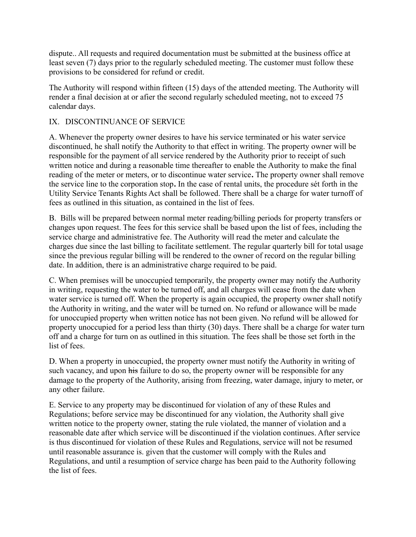dispute.. All requests and required documentation must be submitted at the business office at least seven (7) days prior to the regularly scheduled meeting. The customer must follow these provisions to be considered for refund or credit.

The Authority will respond within fifteen (15) days of the attended meeting. The Authority will render a final decision at or afier the second regularly scheduled meeting, not to exceed 75 calendar days.

## IX. DISCONTINUANCE OF SERVICE

A. Whenever the property owner desires to have his service terminated or his water service discontinued, he shall notify the Authority to that effect in writing. The property owner will be responsible for the payment of all service rendered by the Authority prior to receipt of such written notice and during a reasonable time thereafter to enable the Authority to make the final reading of the meter or meters, or to discontinue water service**.** The property owner shall remove the service line to the corporation stop**.** In the case of rental units, the procedure sét forth in the Utility Service Tenants Rights Act shall be followed. There shall be a charge for water turnoff of fees as outlined in this situation, as contained in the list of fees.

B. Bills will be prepared between normal meter reading/billing periods for property transfers or changes upon request. The fees for this service shall be based upon the list of fees, including the service charge and administrative fee. The Authority will read the meter and calculate the charges due since the last billing to facilitate settlement. The regular quarterly bill for total usage since the previous regular billing will be rendered to the owner of record on the regular billing date. In addition, there is an administrative charge required to be paid.

C. When premises will be unoccupied temporarily, the property owner may notify the Authority in writing, requesting the water to be turned off, and all charges will cease from the date when water service is turned off. When the property is again occupied, the property owner shall notify the Authority in writing, and the water will be turned on. No refund or allowance will be made for unoccupied property when written notice has not been given. No refund will be allowed for property unoccupied for a period less than thirty (30) days. There shall be a charge for water turn off and a charge for turn on as outlined in this situation. The fees shall be those set forth in the list of fees.

D. When a property in unoccupied, the property owner must notify the Authority in writing of such vacancy, and upon his failure to do so, the property owner will be responsible for any damage to the property of the Authority, arising from freezing, water damage, injury to meter, or any other failure.

E. Service to any property may be discontinued for violation of any of these Rules and Regulations; before service may be discontinued for any violation, the Authority shall give written notice to the property owner, stating the rule violated, the manner of violation and a reasonable date after which service will be discontinued if the violation continues. After service is thus discontinued for violation of these Rules and Regulations, service will not be resumed until reasonable assurance is. given that the customer will comply with the Rules and Regulations, and until a resumption of service charge has been paid to the Authority following the list of fees.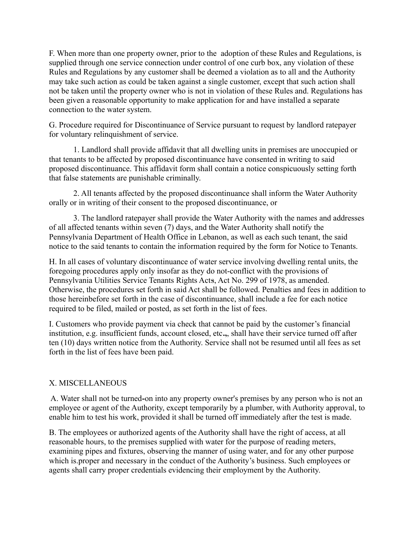F. When more than one property owner, prior to the adoption of these Rules and Regulations, is supplied through one service connection under control of one curb box, any violation of these Rules and Regulations by any customer shall be deemed a violation as to all and the Authority may take such action as could be taken against a single customer, except that such action shall not be taken until the property owner who is not in violation of these Rules and. Regulations has been given a reasonable opportunity to make application for and have installed a separate connection to the water system.

G. Procedure required for Discontinuance of Service pursuant to request by landlord ratepayer for voluntary relinquishment of service.

1. Landlord shall provide affidavit that all dwelling units in premises are unoccupied or that tenants to be affected by proposed discontinuance have consented in writing to said proposed discontinuance. This affidavit form shall contain a notice conspicuously setting forth that false statements are punishable criminally.

2. All tenants affected by the proposed discontinuance shall inform the Water Authority orally or in writing of their consent to the proposed discontinuance, or

3. The landlord ratepayer shall provide the Water Authority with the names and addresses of all affected tenants within seven (7) days, and the Water Authority shall notify the Pennsylvania Department of Health Office in Lebanon, as well as each such tenant, the said notice to the said tenants to contain the information required by the form for Notice to Tenants.

H. In all cases of voluntary discontinuance of water service involving dwelling rental units, the foregoing procedures apply only insofar as they do not-conflict with the provisions of Pennsylvania Utilities Service Tenants Rights Acts, Act No. 299 of 1978, as amended. Otherwise, the procedures set forth in said Act shall be followed. Penalties and fees in addition to those hereinbefore set forth in the case of discontinuance, shall include a fee for each notice required to be filed, mailed or posted, as set forth in the list of fees.

I. Customers who provide payment via check that cannot be paid by the customer's financial institution, e.g. insufficient funds, account closed, etc**.,**, shall have their service turned off after ten (10) days written notice from the Authority. Service shall not be resumed until all fees as set forth in the list of fees have been paid.

## X. MISCELLANEOUS

 A. Water shall not be turned**-**on into any property owner's premises by any person who is not an employee or agent of the Authority, except temporarily by a plumber, with Authority approval, to enable him to test his work, provided it shall be turned off immediately after the test is made.

B. The employees or authorized agents of the Authority shall have the right of access, at all reasonable hours, to the premises supplied with water for the purpose of reading meters, examining pipes and fixtures, observing the manner of using water, and for any other purpose which is.proper and necessary in the conduct of the Authority's business. Such employees or agents shall carry proper credentials evidencing their employment by the Authority.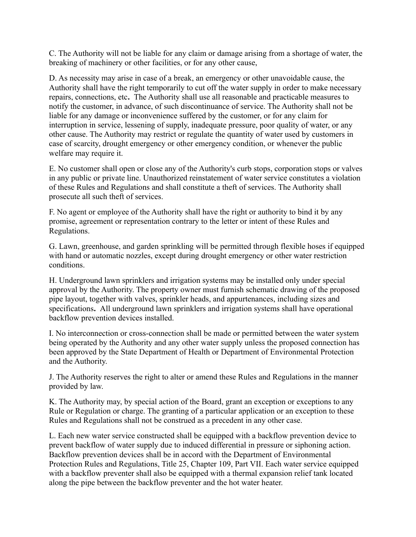C. The Authority will not be liable for any claim or damage arising from a shortage of water, the breaking of machinery or other facilities, or for any other cause,

D. As necessity may arise in case of a break, an emergency or other unavoidable cause, the Authority shall have the right temporarily to cut off the water supply in order to make necessary repairs, connections, etc**.** The Authority shall use all reasonable and practicable measures to notify the customer, in advance, of such discontinuance of service. The Authority shall not be liable for any damage or inconvenience suffered by the customer, or for any claim for interruption in service, lessening of supply, inadequate pressure, poor quality of water, or any other cause. The Authority may restrict or regulate the quantity of water used by customers in case of scarcity, drought emergency or other emergency condition, or whenever the public welfare may require it.

E. No customer shall open or close any of the Authority's curb stops, corporation stops or valves in any public or private line. Unauthorized reinstatement of water service constitutes a violation of these Rules and Regulations and shall constitute a theft of services. The Authority shall prosecute all such theft of services.

F. No agent or employee of the Authority shall have the right or authority to bind it by any promise, agreement or representation contrary to the letter or intent of these Rules and Regulations.

G. Lawn, greenhouse, and garden sprinkling will be permitted through flexible hoses if equipped with hand or automatic nozzles, except during drought emergency or other water restriction conditions.

H. Underground lawn sprinklers and irrigation systems may be installed only under special approval by the Authority. The property owner must furnish schematic drawing of the proposed pipe layout, together with valves, sprinkler heads, and appurtenances, including sizes and specifications**.** All underground lawn sprinklers and irrigation systems shall have operational backflow prevention devices installed.

I. No interconnection or cross-connection shall be made or permitted between the water system being operated by the Authority and any other water supply unless the proposed connection has been approved by the State Department of Health or Department of Environmental Protection and the Authority.

J. The Authority reserves the right to alter or amend these Rules and Regulations in the manner provided by law.

K. The Authority may, by special action of the Board, grant an exception or exceptions to any Rule or Regulation or charge. The granting of a particular application or an exception to these Rules and Regulations shall not be construed as a precedent in any other case.

L. Each new water service constructed shall be equipped with a backflow prevention device to prevent backflow of water supply due to induced differential in pressure or siphoning action. Backflow prevention devices shall be in accord with the Department of Environmental Protection Rules and Regulations, Title 25, Chapter 109, Part VII. Each water service equipped with a backflow preventer shall also be equipped with a thermal expansion relief tank located along the pipe between the backflow preventer and the hot water heater.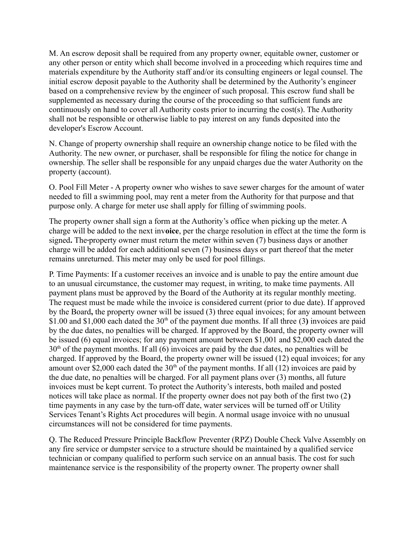M. An escrow deposit shall be required from any property owner, equitable owner, customer or any other person or entity which shall become involved in a proceeding which requires time and materials expenditure by the Authority staff and/or its consulting engineers or legal counsel. The initial escrow deposit payable to the Authority shall be determined by the Authority's engineer based on a comprehensive review by the engineer of such proposal. This escrow fund shall be supplemented as necessary during the course of the proceeding so that sufficient funds are continuously on hand to cover all Authority costs prior to incurring the cost(s). The Authority shall not be responsible or otherwise liable to pay interest on any funds deposited into the developer's Escrow Account.

N. Change of property ownership shall require an ownership change notice to be filed with the Authority. The new owner, or purchaser, shall be responsible for filing the notice for change in ownership. The seller shall be responsible for any unpaid charges due the water Authority on the property (account).

O. Pool Fill Meter - A property owner who wishes to save sewer charges for the amount of water needed to fill a swimming pool, may rent a meter from the Authority for that purpose and that purpose only. A charge for meter use shall apply for filling of swimming pools.

The property owner shall sign a form at the Authority's office when picking up the meter. A charge will be added to the next inv**oice**, per the charge resolution in effect at the time the form is signed. The property owner must return the meter within seven (7) business days or another charge will be added for each additional seven (7) business days or part thereof that the meter remains unreturned. This meter may only be used for pool fillings.

P. Time Payments: If a customer receives an invoice and is unable to pay the entire amount due to an unusual circumstance, the customer may request, in writing, to make time payments. All payment plans must be approved by the Board of the Authority at its regular monthly meeting. The request must be made while the invoice is considered current (prior to due date). If approved by the Board**,** the property owner will be issued (3) three equal invoices; for any amount between \$1.00 and \$1,000 each dated the 30<sup>th</sup> of the payment due months. If all three (3) invoices are paid by the due dates, no penalties will be charged. If approved by the Board, the property owner will be issued (6) equal invoices; for any payment amount between \$1,001 and \$2,000 each dated the  $30<sup>th</sup>$  of the payment months. If all (6) invoices are paid by the due dates, no penalties will be charged. If approved by the Board, the property owner will be issued (12) equal invoices; for any amount over \$2,000 each dated the  $30<sup>th</sup>$  of the payment months. If all (12) invoices are paid by the due date, no penalties will be charged. For all payment plans over (3) months, all future invoices must be kept current. To protect the Authority's interests, both mailed and posted notices will take place as normal. If the property owner does not pay both of the first two (2**)** time payments in any case by the turn-off date, water services will be turned off or Utility Services Tenant's Rights Act procedures will begin. A normal usage invoice with no unusual circumstances will not be considered for time payments.

Q. The Reduced Pressure Principle Backflow Preventer (RPZ) Double Check Valve Assembly on any fire service or dumpster service to a structure should be maintained by a qualified service technician or company qualified to perform such service on an annual basis. The cost for such maintenance service is the responsibility of the property owner. The property owner shall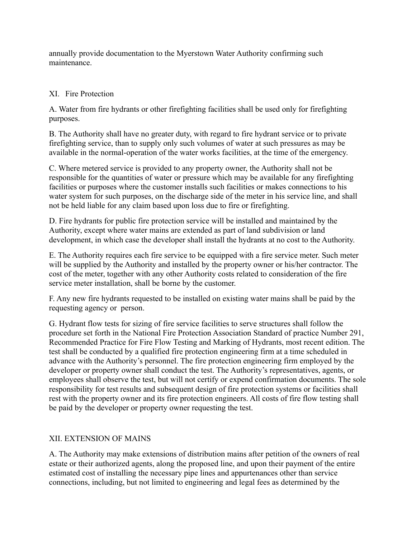annually provide documentation to the Myerstown Water Authority confirming such maintenance.

# XI. Fire Protection

A. Water from fire hydrants or other firefighting facilities shall be used only for firefighting purposes.

B. The Authority shall have no greater duty, with regard to fire hydrant service or to private firefighting service, than to supply only such volumes of water at such pressures as may be available in the normal-operation of the water works facilities, at the time of the emergency.

C. Where metered service is provided to any property owner, the Authority shall not be responsible for the quantities of water or pressure which may be available for any firefighting facilities or purposes where the customer installs such facilities or makes connections to his water system for such purposes, on the discharge side of the meter in his service line, and shall not be held liable for any claim based upon loss due to fire or firefighting.

D. Fire hydrants for public fire protection service will be installed and maintained by the Authority, except where water mains are extended as part of land subdivision or land development, in which case the developer shall install the hydrants at no cost to the Authority.

E. The Authority requires each fire service to be equipped with a fire service meter. Such meter will be supplied by the Authority and installed by the property owner or his/her contractor. The cost of the meter, together with any other Authority costs related to consideration of the fire service meter installation, shall be borne by the customer.

F. Any new fire hydrants requested to be installed on existing water mains shall be paid by the requesting agency or person.

G. Hydrant flow tests for sizing of fire service facilities to serve structures shall follow the procedure set forth in the National Fire Protection Association Standard of practice Number 291, Recommended Practice for Fire Flow Testing and Marking of Hydrants, most recent edition. The test shall be conducted by a qualified fire protection engineering firm at a time scheduled in advance with the Authority's personnel. The fire protection engineering firm employed by the developer or property owner shall conduct the test. The Authority's representatives, agents, or employees shall observe the test, but will not certify or expend confirmation documents. The sole responsibility for test results and subsequent design of fire protection systems or facilities shall rest with the property owner and its fire protection engineers. All costs of fire flow testing shall be paid by the developer or property owner requesting the test.

# XII. EXTENSION OF MAINS

A. The Authority may make extensions of distribution mains after petition of the owners of real estate or their authorized agents, along the proposed line, and upon their payment of the entire estimated cost of installing the necessary pipe lines and appurtenances other than service connections, including, but not limited to engineering and legal fees as determined by the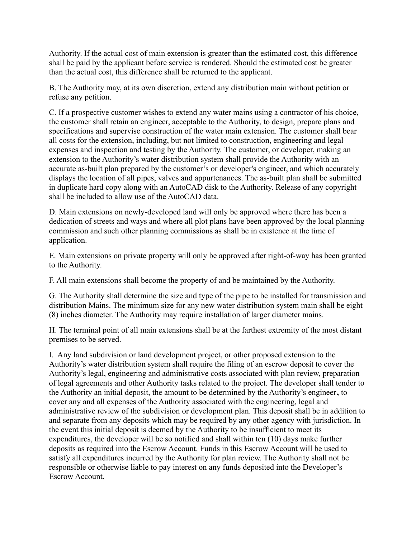Authority. If the actual cost of main extension is greater than the estimated cost, this difference shall be paid by the applicant before service is rendered. Should the estimated cost be greater than the actual cost, this difference shall be returned to the applicant.

B. The Authority may, at its own discretion, extend any distribution main without petition or refuse any petition.

C. If a prospective customer wishes to extend any water mains using a contractor of his choice, the customer shall retain an engineer, acceptable to the Authority, to design, prepare plans and specifications and supervise construction of the water main extension. The customer shall bear all costs for the extension, including, but not limited to construction, engineering and legal expenses and inspection and testing by the Authority. The customer, or developer, making an extension to the Authority's water distribution system shall provide the Authority with an accurate as-built plan prepared by the customer's or developer's engineer, and which accurately displays the location of all pipes, valves and appurtenances. The as-built plan shall be submitted in duplicate hard copy along with an AutoCAD disk to the Authority. Release of any copyright shall be included to allow use of the AutoCAD data.

D. Main extensions on newly-developed land will only be approved where there has been a dedication of streets and ways and where all plot plans have been approved by the local planning commission and such other planning commissions as shall be in existence at the time of application.

E. Main extensions on private property will only be approved after right-of-way has been granted to the Authority.

F. All main extensions shall become the property of and be maintained by the Authority.

G. The Authority shall determine the size and type of the pipe to be installed for transmission and distribution Mains. The minimum size for any new water distribution system main shall be eight (8) inches diameter. The Authority may require installation of larger diameter mains.

H. The terminal point of all main extensions shall be at the farthest extremity of the most distant premises to be served.

I. Any land subdivision or land development project, or other proposed extension to the Authority's water distribution system shall require the filing of an escrow deposit to cover the Authority's legal, engineering and administrative costs associated with plan review, preparation of legal agreements and other Authority tasks related to the project. The developer shall tender to the Authority an initial deposit, the amount to be determined by the Authority's engineer**,** to cover any and all expenses of the Authority associated with the engineering, legal and administrative review of the subdivision or development plan. This deposit shall be in addition to and separate from any deposits which may be required by any other agency with jurisdiction. In the event this initial deposit is deemed by the Authority to be insufficient to meet its expenditures, the developer will be so notified and shall within ten (10) days make further deposits as required into the Escrow Account. Funds in this Escrow Account will be used to satisfy all expenditures incurred by the Authority for plan review. The Authority shall not be responsible or otherwise liable to pay interest on any funds deposited into the Developer's Escrow Account.